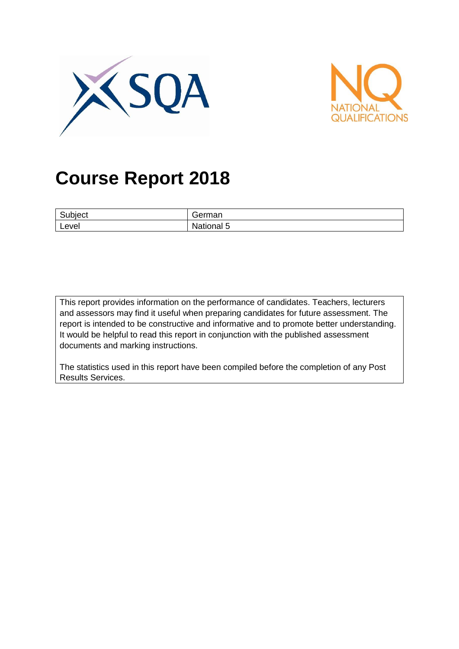



# **Course Report 2018**

| ∽<br><b>JDIECT</b> |                            |
|--------------------|----------------------------|
| Level              | -<br>nal 5<br>ναιιο<br>٠м. |

This report provides information on the performance of candidates. Teachers, lecturers and assessors may find it useful when preparing candidates for future assessment. The report is intended to be constructive and informative and to promote better understanding. It would be helpful to read this report in conjunction with the published assessment documents and marking instructions.

The statistics used in this report have been compiled before the completion of any Post Results Services.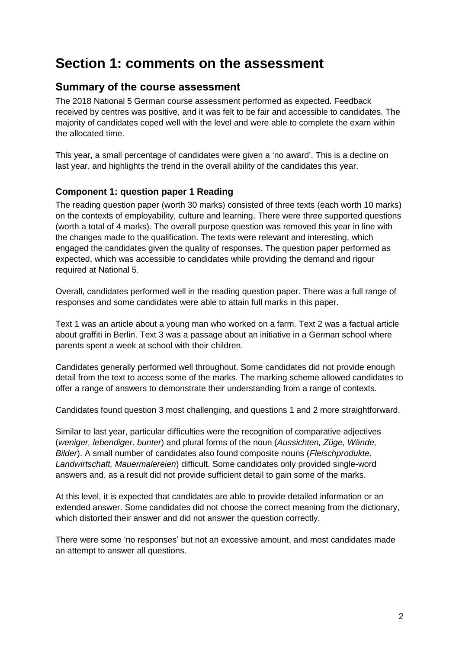## **Section 1: comments on the assessment**

### **Summary of the course assessment**

The 2018 National 5 German course assessment performed as expected. Feedback received by centres was positive, and it was felt to be fair and accessible to candidates. The majority of candidates coped well with the level and were able to complete the exam within the allocated time.

This year, a small percentage of candidates were given a 'no award'. This is a decline on last year, and highlights the trend in the overall ability of the candidates this year.

### **Component 1: question paper 1 Reading**

The reading question paper (worth 30 marks) consisted of three texts (each worth 10 marks) on the contexts of employability, culture and learning. There were three supported questions (worth a total of 4 marks). The overall purpose question was removed this year in line with the changes made to the qualification. The texts were relevant and interesting, which engaged the candidates given the quality of responses. The question paper performed as expected, which was accessible to candidates while providing the demand and rigour required at National 5.

Overall, candidates performed well in the reading question paper. There was a full range of responses and some candidates were able to attain full marks in this paper.

Text 1 was an article about a young man who worked on a farm. Text 2 was a factual article about graffiti in Berlin. Text 3 was a passage about an initiative in a German school where parents spent a week at school with their children.

Candidates generally performed well throughout. Some candidates did not provide enough detail from the text to access some of the marks. The marking scheme allowed candidates to offer a range of answers to demonstrate their understanding from a range of contexts.

Candidates found question 3 most challenging, and questions 1 and 2 more straightforward.

Similar to last year, particular difficulties were the recognition of comparative adjectives (*weniger, lebendiger, bunter*) and plural forms of the noun (*Aussichten, Züge, Wände, Bilder*). A small number of candidates also found composite nouns (*Fleischprodukte, Landwirtschaft, Mauermalereien*) difficult. Some candidates only provided single-word answers and, as a result did not provide sufficient detail to gain some of the marks.

At this level, it is expected that candidates are able to provide detailed information or an extended answer. Some candidates did not choose the correct meaning from the dictionary, which distorted their answer and did not answer the question correctly.

There were some 'no responses' but not an excessive amount, and most candidates made an attempt to answer all questions.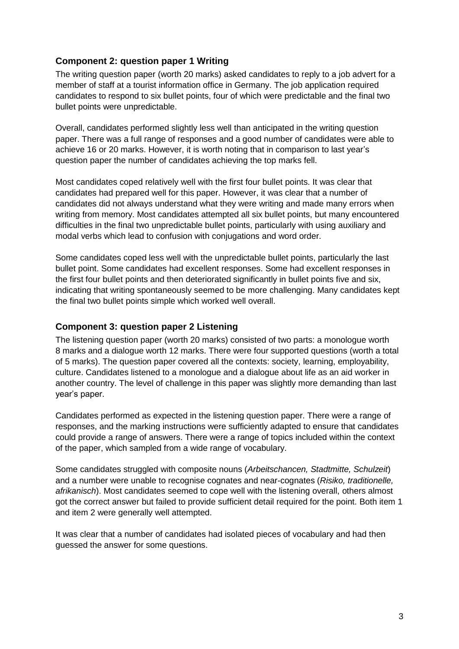### **Component 2: question paper 1 Writing**

The writing question paper (worth 20 marks) asked candidates to reply to a job advert for a member of staff at a tourist information office in Germany. The job application required candidates to respond to six bullet points, four of which were predictable and the final two bullet points were unpredictable.

Overall, candidates performed slightly less well than anticipated in the writing question paper. There was a full range of responses and a good number of candidates were able to achieve 16 or 20 marks. However, it is worth noting that in comparison to last year's question paper the number of candidates achieving the top marks fell.

Most candidates coped relatively well with the first four bullet points. It was clear that candidates had prepared well for this paper. However, it was clear that a number of candidates did not always understand what they were writing and made many errors when writing from memory. Most candidates attempted all six bullet points, but many encountered difficulties in the final two unpredictable bullet points, particularly with using auxiliary and modal verbs which lead to confusion with conjugations and word order.

Some candidates coped less well with the unpredictable bullet points, particularly the last bullet point. Some candidates had excellent responses. Some had excellent responses in the first four bullet points and then deteriorated significantly in bullet points five and six, indicating that writing spontaneously seemed to be more challenging. Many candidates kept the final two bullet points simple which worked well overall.

### **Component 3: question paper 2 Listening**

The listening question paper (worth 20 marks) consisted of two parts: a monologue worth 8 marks and a dialogue worth 12 marks. There were four supported questions (worth a total of 5 marks). The question paper covered all the contexts: society, learning, employability, culture. Candidates listened to a monologue and a dialogue about life as an aid worker in another country. The level of challenge in this paper was slightly more demanding than last year's paper.

Candidates performed as expected in the listening question paper. There were a range of responses, and the marking instructions were sufficiently adapted to ensure that candidates could provide a range of answers. There were a range of topics included within the context of the paper, which sampled from a wide range of vocabulary.

Some candidates struggled with composite nouns (*Arbeitschancen, Stadtmitte, Schulzeit*) and a number were unable to recognise cognates and near-cognates (*Risiko, traditionelle, afrikanisch*). Most candidates seemed to cope well with the listening overall, others almost got the correct answer but failed to provide sufficient detail required for the point. Both item 1 and item 2 were generally well attempted.

It was clear that a number of candidates had isolated pieces of vocabulary and had then guessed the answer for some questions.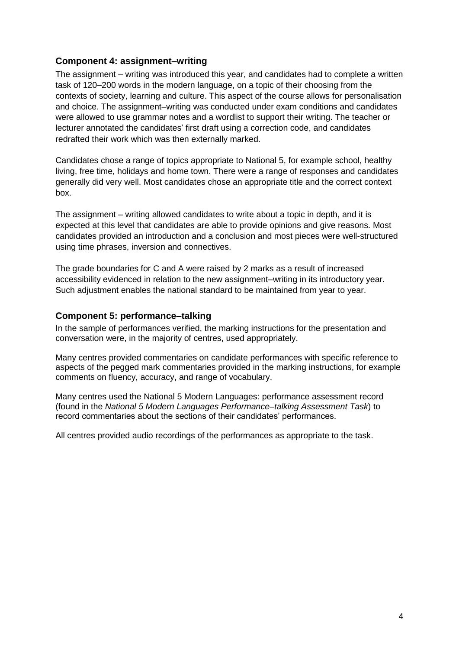### **Component 4: assignment–writing**

The assignment – writing was introduced this year, and candidates had to complete a written task of 120–200 words in the modern language, on a topic of their choosing from the contexts of society, learning and culture. This aspect of the course allows for personalisation and choice. The assignment–writing was conducted under exam conditions and candidates were allowed to use grammar notes and a wordlist to support their writing. The teacher or lecturer annotated the candidates' first draft using a correction code, and candidates redrafted their work which was then externally marked.

Candidates chose a range of topics appropriate to National 5, for example school, healthy living, free time, holidays and home town. There were a range of responses and candidates generally did very well. Most candidates chose an appropriate title and the correct context box.

The assignment – writing allowed candidates to write about a topic in depth, and it is expected at this level that candidates are able to provide opinions and give reasons. Most candidates provided an introduction and a conclusion and most pieces were well-structured using time phrases, inversion and connectives.

The grade boundaries for C and A were raised by 2 marks as a result of increased accessibility evidenced in relation to the new assignment–writing in its introductory year. Such adjustment enables the national standard to be maintained from year to year.

### **Component 5: performance–talking**

In the sample of performances verified, the marking instructions for the presentation and conversation were, in the majority of centres, used appropriately.

Many centres provided commentaries on candidate performances with specific reference to aspects of the pegged mark commentaries provided in the marking instructions, for example comments on fluency, accuracy, and range of vocabulary.

Many centres used the National 5 Modern Languages: performance assessment record (found in the *National 5 Modern Languages Performance–talking Assessment Task*) to record commentaries about the sections of their candidates' performances.

All centres provided audio recordings of the performances as appropriate to the task.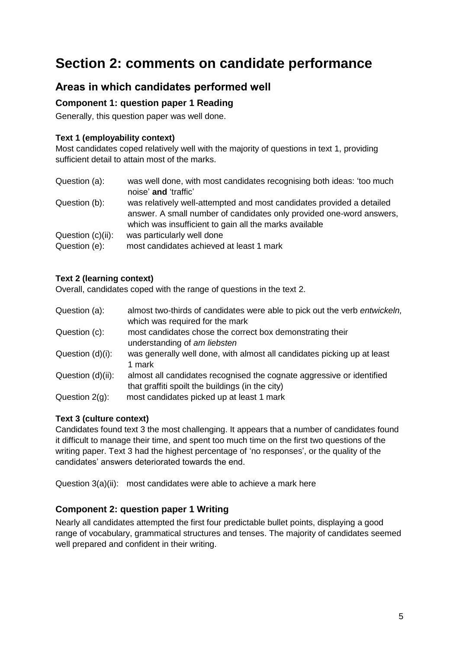## **Section 2: comments on candidate performance**

### **Areas in which candidates performed well**

### **Component 1: question paper 1 Reading**

Generally, this question paper was well done.

### **Text 1 (employability context)**

Most candidates coped relatively well with the majority of questions in text 1, providing sufficient detail to attain most of the marks.

| Question (a):                      | was well done, with most candidates recognising both ideas: 'too much<br>noise' and 'traffic'                                                                                                           |
|------------------------------------|---------------------------------------------------------------------------------------------------------------------------------------------------------------------------------------------------------|
| Question (b):                      | was relatively well-attempted and most candidates provided a detailed<br>answer. A small number of candidates only provided one-word answers,<br>which was insufficient to gain all the marks available |
| Question (c)(ii):<br>Question (e): | was particularly well done<br>most candidates achieved at least 1 mark                                                                                                                                  |

### **Text 2 (learning context)**

Overall, candidates coped with the range of questions in the text 2.

| Question (a):     | almost two-thirds of candidates were able to pick out the verb entwickeln,<br>which was required for the mark             |
|-------------------|---------------------------------------------------------------------------------------------------------------------------|
| Question (c):     | most candidates chose the correct box demonstrating their<br>understanding of am liebsten                                 |
| Question (d)(i):  | was generally well done, with almost all candidates picking up at least<br>1 mark                                         |
| Question (d)(ii): | almost all candidates recognised the cognate aggressive or identified<br>that graffiti spoilt the buildings (in the city) |
| Question $2(q)$ : | most candidates picked up at least 1 mark                                                                                 |

### **Text 3 (culture context)**

Candidates found text 3 the most challenging. It appears that a number of candidates found it difficult to manage their time, and spent too much time on the first two questions of the writing paper. Text 3 had the highest percentage of 'no responses', or the quality of the candidates' answers deteriorated towards the end.

Question 3(a)(ii): most candidates were able to achieve a mark here

### **Component 2: question paper 1 Writing**

Nearly all candidates attempted the first four predictable bullet points, displaying a good range of vocabulary, grammatical structures and tenses. The majority of candidates seemed well prepared and confident in their writing.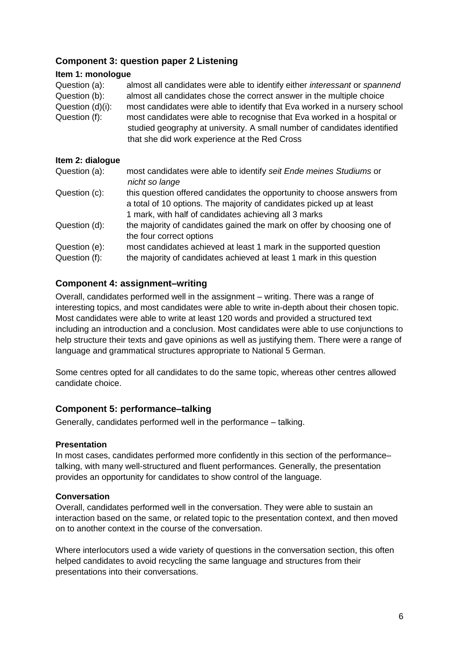### **Component 3: question paper 2 Listening**

#### **Item 1: monologue**

Question (a): almost all candidates were able to identify either *interessant* or *spannend* Question (b): almost all candidates chose the correct answer in the multiple choice Question (d)(i): most candidates were able to identify that Eva worked in a nursery school Question (f): most candidates were able to recognise that Eva worked in a hospital or studied geography at university. A small number of candidates identified that she did work experience at the Red Cross

### **Item 2: dialogue**

| Question (a): | most candidates were able to identify seit Ende meines Studiums or<br>nicht so lange                                                                                                                     |
|---------------|----------------------------------------------------------------------------------------------------------------------------------------------------------------------------------------------------------|
| Question (c): | this question offered candidates the opportunity to choose answers from<br>a total of 10 options. The majority of candidates picked up at least<br>1 mark, with half of candidates achieving all 3 marks |
| Question (d): | the majority of candidates gained the mark on offer by choosing one of<br>the four correct options                                                                                                       |
| Question (e): | most candidates achieved at least 1 mark in the supported question                                                                                                                                       |
| Question (f): | the majority of candidates achieved at least 1 mark in this question                                                                                                                                     |

### **Component 4: assignment–writing**

Overall, candidates performed well in the assignment – writing. There was a range of interesting topics, and most candidates were able to write in-depth about their chosen topic. Most candidates were able to write at least 120 words and provided a structured text including an introduction and a conclusion. Most candidates were able to use conjunctions to help structure their texts and gave opinions as well as justifying them. There were a range of language and grammatical structures appropriate to National 5 German.

Some centres opted for all candidates to do the same topic, whereas other centres allowed candidate choice.

### **Component 5: performance–talking**

Generally, candidates performed well in the performance – talking.

### **Presentation**

In most cases, candidates performed more confidently in this section of the performance– talking, with many well-structured and fluent performances. Generally, the presentation provides an opportunity for candidates to show control of the language.

### **Conversation**

Overall, candidates performed well in the conversation. They were able to sustain an interaction based on the same, or related topic to the presentation context, and then moved on to another context in the course of the conversation.

Where interlocutors used a wide variety of questions in the conversation section, this often helped candidates to avoid recycling the same language and structures from their presentations into their conversations.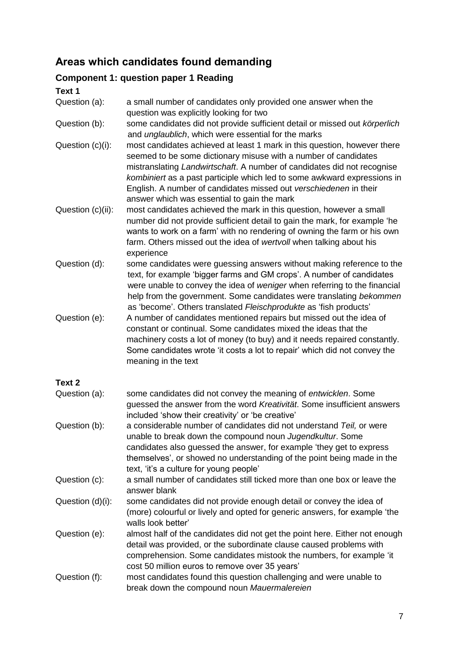### **Areas which candidates found demanding**

### **Component 1: question paper 1 Reading**

**Text 1** Question (a): a small number of candidates only provided one answer when the question was explicitly looking for two Question (b): some candidates did not provide sufficient detail or missed out *körperlich*  and *unglaublich*, which were essential for the marks Question (c)(i): most candidates achieved at least 1 mark in this question, however there seemed to be some dictionary misuse with a number of candidates mistranslating *Landwirtschaft*. A number of candidates did not recognise *kombiniert* as a past participle which led to some awkward expressions in English. A number of candidates missed out *verschiedenen* in their answer which was essential to gain the mark Question (c)(ii): most candidates achieved the mark in this question, however a small number did not provide sufficient detail to gain the mark, for example 'he wants to work on a farm' with no rendering of owning the farm or his own farm. Others missed out the idea of *wertvoll* when talking about his experience Question (d): some candidates were guessing answers without making reference to the text, for example 'bigger farms and GM crops'. A number of candidates were unable to convey the idea of *weniger* when referring to the financial help from the government. Some candidates were translating *bekommen* as 'become'. Others translated *Fleischprodukte* as 'fish products' Question (e): A number of candidates mentioned repairs but missed out the idea of constant or continual. Some candidates mixed the ideas that the machinery costs a lot of money (to buy) and it needs repaired constantly. Some candidates wrote 'it costs a lot to repair' which did not convey the meaning in the text **Text 2** Question (a): some candidates did not convey the meaning of *entwicklen*. Some guessed the answer from the word *Kreativität*. Some insufficient answers included 'show their creativity' or 'be creative' Question (b): a considerable number of candidates did not understand *Teil,* or were unable to break down the compound noun *Jugendkultur*. Some candidates also guessed the answer, for example 'they get to express themselves', or showed no understanding of the point being made in the text, 'it's a culture for young people' Question (c): a small number of candidates still ticked more than one box or leave the answer blank Question (d)(i): some candidates did not provide enough detail or convey the idea of (more) colourful or lively and opted for generic answers, for example 'the walls look better' Question (e): almost half of the candidates did not get the point here. Either not enough detail was provided, or the subordinate clause caused problems with comprehension. Some candidates mistook the numbers, for example 'it cost 50 million euros to remove over 35 years' Question (f): most candidates found this question challenging and were unable to break down the compound noun *Mauermalereien*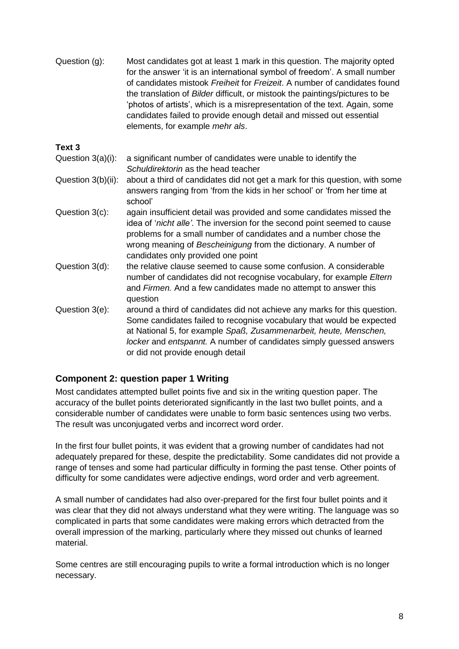| Question (g):        | Most candidates got at least 1 mark in this question. The majority opted<br>for the answer 'it is an international symbol of freedom'. A small number<br>of candidates mistook Freiheit for Freizeit. A number of candidates found<br>the translation of Bilder difficult, or mistook the paintings/pictures to be<br>'photos of artists', which is a misrepresentation of the text. Again, some<br>candidates failed to provide enough detail and missed out essential<br>elements, for example mehr als. |
|----------------------|------------------------------------------------------------------------------------------------------------------------------------------------------------------------------------------------------------------------------------------------------------------------------------------------------------------------------------------------------------------------------------------------------------------------------------------------------------------------------------------------------------|
| Text 3               |                                                                                                                                                                                                                                                                                                                                                                                                                                                                                                            |
| Question $3(a)(i)$ : | a significant number of candidates were unable to identify the<br>Schuldirektorin as the head teacher                                                                                                                                                                                                                                                                                                                                                                                                      |
| Question 3(b)(ii):   | about a third of candidates did not get a mark for this question, with some<br>answers ranging from 'from the kids in her school' or 'from her time at<br>school'                                                                                                                                                                                                                                                                                                                                          |
| Question 3(c):       | again insufficient detail was provided and some candidates missed the<br>idea of 'nicht alle'. The inversion for the second point seemed to cause<br>problems for a small number of candidates and a number chose the<br>wrong meaning of Bescheinigung from the dictionary. A number of<br>candidates only provided one point                                                                                                                                                                             |
| Question 3(d):       | the relative clause seemed to cause some confusion. A considerable<br>number of candidates did not recognise vocabulary, for example Eltern<br>and Firmen. And a few candidates made no attempt to answer this<br>question                                                                                                                                                                                                                                                                                 |
| Question 3(e):       | around a third of candidates did not achieve any marks for this question.<br>Some candidates failed to recognise vocabulary that would be expected<br>at National 5, for example Spaß, Zusammenarbeit, heute, Menschen,<br>locker and entspannt. A number of candidates simply guessed answers<br>or did not provide enough detail                                                                                                                                                                         |

### **Component 2: question paper 1 Writing**

Most candidates attempted bullet points five and six in the writing question paper. The accuracy of the bullet points deteriorated significantly in the last two bullet points, and a considerable number of candidates were unable to form basic sentences using two verbs. The result was unconjugated verbs and incorrect word order.

In the first four bullet points, it was evident that a growing number of candidates had not adequately prepared for these, despite the predictability. Some candidates did not provide a range of tenses and some had particular difficulty in forming the past tense. Other points of difficulty for some candidates were adjective endings, word order and verb agreement.

A small number of candidates had also over-prepared for the first four bullet points and it was clear that they did not always understand what they were writing. The language was so complicated in parts that some candidates were making errors which detracted from the overall impression of the marking, particularly where they missed out chunks of learned material.

Some centres are still encouraging pupils to write a formal introduction which is no longer necessary.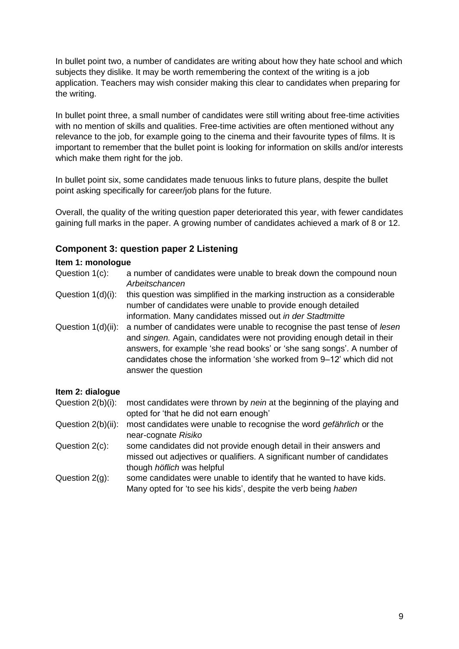In bullet point two, a number of candidates are writing about how they hate school and which subjects they dislike. It may be worth remembering the context of the writing is a job application. Teachers may wish consider making this clear to candidates when preparing for the writing.

In bullet point three, a small number of candidates were still writing about free-time activities with no mention of skills and qualities. Free-time activities are often mentioned without any relevance to the job, for example going to the cinema and their favourite types of films. It is important to remember that the bullet point is looking for information on skills and/or interests which make them right for the job.

In bullet point six, some candidates made tenuous links to future plans, despite the bullet point asking specifically for career/job plans for the future.

Overall, the quality of the writing question paper deteriorated this year, with fewer candidates gaining full marks in the paper. A growing number of candidates achieved a mark of 8 or 12.

### **Component 3: question paper 2 Listening**

#### **Item 1: monologue**

- Question 1(c): a number of candidates were unable to break down the compound noun *Arbeitschancen*
- Question 1(d)(i): this question was simplified in the marking instruction as a considerable number of candidates were unable to provide enough detailed information. Many candidates missed out *in der Stadtmitte*
- Question 1(d)(ii): a number of candidates were unable to recognise the past tense of *lesen* and *singen.* Again, candidates were not providing enough detail in their answers, for example 'she read books' or 'she sang songs'. A number of candidates chose the information 'she worked from 9–12' which did not answer the question

#### **Item 2: dialogue**

- Question 2(b)(i): most candidates were thrown by *nein* at the beginning of the playing and opted for 'that he did not earn enough'
- Question 2(b)(ii): most candidates were unable to recognise the word *gefährlich* or the near-cognate *Risiko*
- Question 2(c): some candidates did not provide enough detail in their answers and missed out adjectives or qualifiers. A significant number of candidates though *höflich* was helpful
- Question 2(g): some candidates were unable to identify that he wanted to have kids. Many opted for 'to see his kids', despite the verb being *haben*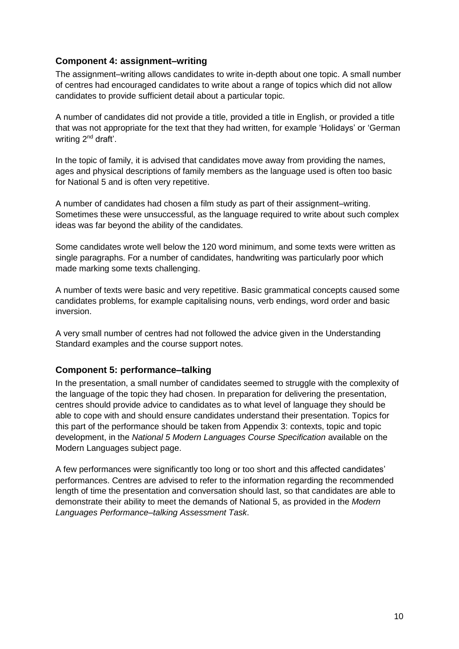### **Component 4: assignment–writing**

The assignment–writing allows candidates to write in-depth about one topic. A small number of centres had encouraged candidates to write about a range of topics which did not allow candidates to provide sufficient detail about a particular topic.

A number of candidates did not provide a title, provided a title in English, or provided a title that was not appropriate for the text that they had written, for example 'Holidays' or 'German writing 2<sup>nd</sup> draft'.

In the topic of family, it is advised that candidates move away from providing the names, ages and physical descriptions of family members as the language used is often too basic for National 5 and is often very repetitive.

A number of candidates had chosen a film study as part of their assignment–writing. Sometimes these were unsuccessful, as the language required to write about such complex ideas was far beyond the ability of the candidates.

Some candidates wrote well below the 120 word minimum, and some texts were written as single paragraphs. For a number of candidates, handwriting was particularly poor which made marking some texts challenging.

A number of texts were basic and very repetitive. Basic grammatical concepts caused some candidates problems, for example capitalising nouns, verb endings, word order and basic inversion.

A very small number of centres had not followed the advice given in the Understanding Standard examples and the course support notes.

### **Component 5: performance–talking**

In the presentation, a small number of candidates seemed to struggle with the complexity of the language of the topic they had chosen. In preparation for delivering the presentation, centres should provide advice to candidates as to what level of language they should be able to cope with and should ensure candidates understand their presentation. Topics for this part of the performance should be taken from Appendix 3: contexts, topic and topic development, in the *National 5 [Modern Languages Course Specification](https://www.sqa.org.uk/files_ccc/ModernLanguagesCourseSpecN5.pdf)* available on the Modern Languages subject page.

A few performances were significantly too long or too short and this affected candidates' performances. Centres are advised to refer to the information regarding the recommended length of time the presentation and conversation should last, so that candidates are able to demonstrate their ability to meet the demands of National 5, as provided in the *Modern Languages Performance–talking Assessment Task*.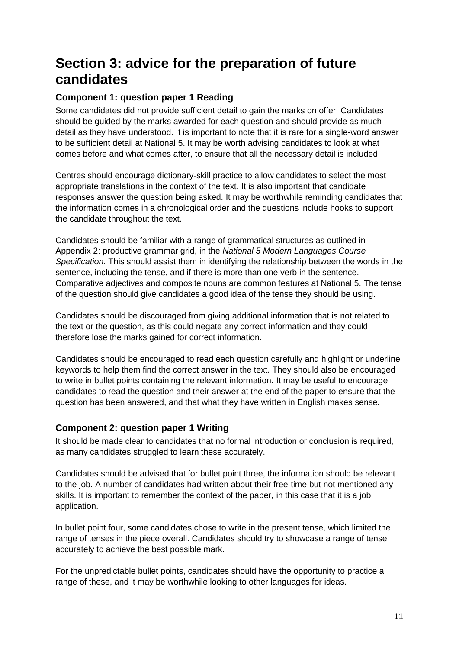## **Section 3: advice for the preparation of future candidates**

### **Component 1: question paper 1 Reading**

Some candidates did not provide sufficient detail to gain the marks on offer. Candidates should be guided by the marks awarded for each question and should provide as much detail as they have understood. It is important to note that it is rare for a single-word answer to be sufficient detail at National 5. It may be worth advising candidates to look at what comes before and what comes after, to ensure that all the necessary detail is included.

Centres should encourage dictionary-skill practice to allow candidates to select the most appropriate translations in the context of the text. It is also important that candidate responses answer the question being asked. It may be worthwhile reminding candidates that the information comes in a chronological order and the questions include hooks to support the candidate throughout the text.

Candidates should be familiar with a range of grammatical structures as outlined in Appendix 2: productive grammar grid, in the *National 5 Modern Languages Course Specification*. This should assist them in identifying the relationship between the words in the sentence, including the tense, and if there is more than one verb in the sentence. Comparative adjectives and composite nouns are common features at National 5. The tense of the question should give candidates a good idea of the tense they should be using.

Candidates should be discouraged from giving additional information that is not related to the text or the question, as this could negate any correct information and they could therefore lose the marks gained for correct information.

Candidates should be encouraged to read each question carefully and highlight or underline keywords to help them find the correct answer in the text. They should also be encouraged to write in bullet points containing the relevant information. It may be useful to encourage candidates to read the question and their answer at the end of the paper to ensure that the question has been answered, and that what they have written in English makes sense.

### **Component 2: question paper 1 Writing**

It should be made clear to candidates that no formal introduction or conclusion is required, as many candidates struggled to learn these accurately.

Candidates should be advised that for bullet point three, the information should be relevant to the job. A number of candidates had written about their free-time but not mentioned any skills. It is important to remember the context of the paper, in this case that it is a job application.

In bullet point four, some candidates chose to write in the present tense, which limited the range of tenses in the piece overall. Candidates should try to showcase a range of tense accurately to achieve the best possible mark.

For the unpredictable bullet points, candidates should have the opportunity to practice a range of these, and it may be worthwhile looking to other languages for ideas.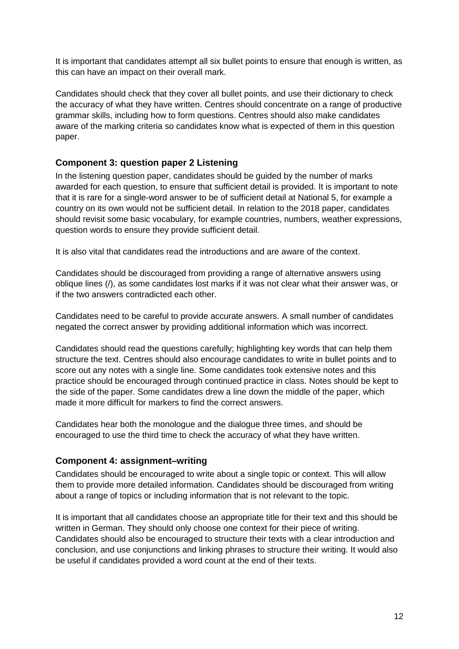It is important that candidates attempt all six bullet points to ensure that enough is written, as this can have an impact on their overall mark.

Candidates should check that they cover all bullet points, and use their dictionary to check the accuracy of what they have written. Centres should concentrate on a range of productive grammar skills, including how to form questions. Centres should also make candidates aware of the marking criteria so candidates know what is expected of them in this question paper.

### **Component 3: question paper 2 Listening**

In the listening question paper, candidates should be guided by the number of marks awarded for each question, to ensure that sufficient detail is provided. It is important to note that it is rare for a single-word answer to be of sufficient detail at National 5, for example a country on its own would not be sufficient detail. In relation to the 2018 paper, candidates should revisit some basic vocabulary, for example countries, numbers, weather expressions, question words to ensure they provide sufficient detail.

It is also vital that candidates read the introductions and are aware of the context.

Candidates should be discouraged from providing a range of alternative answers using oblique lines (/), as some candidates lost marks if it was not clear what their answer was, or if the two answers contradicted each other.

Candidates need to be careful to provide accurate answers. A small number of candidates negated the correct answer by providing additional information which was incorrect.

Candidates should read the questions carefully; highlighting key words that can help them structure the text. Centres should also encourage candidates to write in bullet points and to score out any notes with a single line. Some candidates took extensive notes and this practice should be encouraged through continued practice in class. Notes should be kept to the side of the paper. Some candidates drew a line down the middle of the paper, which made it more difficult for markers to find the correct answers.

Candidates hear both the monologue and the dialogue three times, and should be encouraged to use the third time to check the accuracy of what they have written.

### **Component 4: assignment–writing**

Candidates should be encouraged to write about a single topic or context. This will allow them to provide more detailed information. Candidates should be discouraged from writing about a range of topics or including information that is not relevant to the topic.

It is important that all candidates choose an appropriate title for their text and this should be written in German. They should only choose one context for their piece of writing. Candidates should also be encouraged to structure their texts with a clear introduction and conclusion, and use conjunctions and linking phrases to structure their writing. It would also be useful if candidates provided a word count at the end of their texts.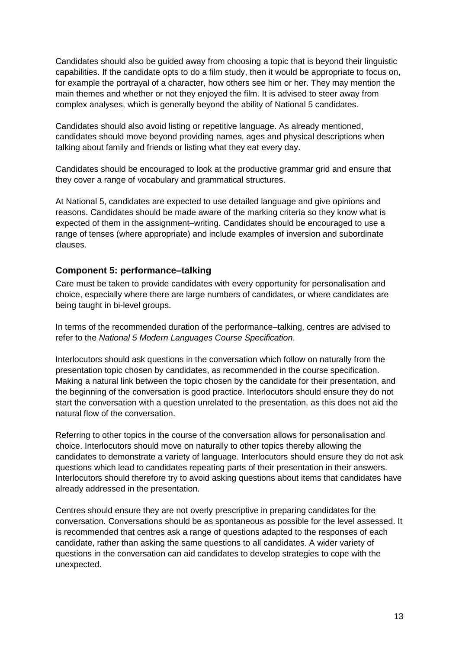Candidates should also be guided away from choosing a topic that is beyond their linguistic capabilities. If the candidate opts to do a film study, then it would be appropriate to focus on, for example the portrayal of a character, how others see him or her. They may mention the main themes and whether or not they enjoyed the film. It is advised to steer away from complex analyses, which is generally beyond the ability of National 5 candidates.

Candidates should also avoid listing or repetitive language. As already mentioned, candidates should move beyond providing names, ages and physical descriptions when talking about family and friends or listing what they eat every day.

Candidates should be encouraged to look at the productive grammar grid and ensure that they cover a range of vocabulary and grammatical structures.

At National 5, candidates are expected to use detailed language and give opinions and reasons. Candidates should be made aware of the marking criteria so they know what is expected of them in the assignment–writing. Candidates should be encouraged to use a range of tenses (where appropriate) and include examples of inversion and subordinate clauses.

#### **Component 5: performance–talking**

Care must be taken to provide candidates with every opportunity for personalisation and choice, especially where there are large numbers of candidates, or where candidates are being taught in bi-level groups.

In terms of the recommended duration of the performance–talking, centres are advised to refer to the *National 5 Modern Languages Course Specification*.

Interlocutors should ask questions in the conversation which follow on naturally from the presentation topic chosen by candidates, as recommended in the course specification. Making a natural link between the topic chosen by the candidate for their presentation, and the beginning of the conversation is good practice. Interlocutors should ensure they do not start the conversation with a question unrelated to the presentation, as this does not aid the natural flow of the conversation.

Referring to other topics in the course of the conversation allows for personalisation and choice. Interlocutors should move on naturally to other topics thereby allowing the candidates to demonstrate a variety of language. Interlocutors should ensure they do not ask questions which lead to candidates repeating parts of their presentation in their answers. Interlocutors should therefore try to avoid asking questions about items that candidates have already addressed in the presentation.

Centres should ensure they are not overly prescriptive in preparing candidates for the conversation. Conversations should be as spontaneous as possible for the level assessed. It is recommended that centres ask a range of questions adapted to the responses of each candidate, rather than asking the same questions to all candidates. A wider variety of questions in the conversation can aid candidates to develop strategies to cope with the unexpected.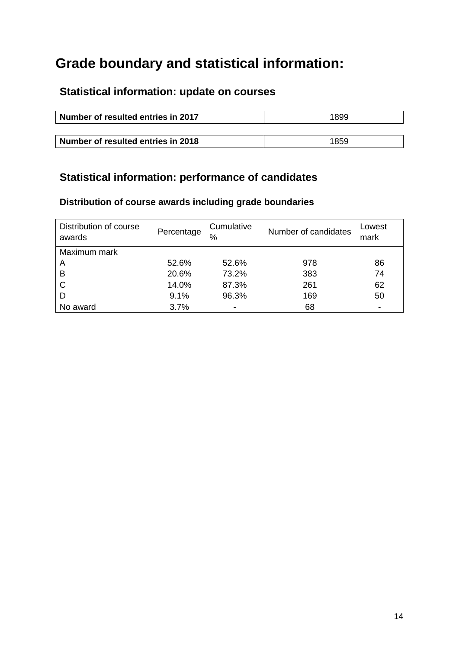## **Grade boundary and statistical information:**

## **Statistical information: update on courses**

| Number of resulted entries in 2017 | 1899 |  |
|------------------------------------|------|--|
|                                    |      |  |
| Number of resulted entries in 2018 | 1859 |  |

### **Statistical information: performance of candidates**

### **Distribution of course awards including grade boundaries**

| Distribution of course<br>awards | Percentage | Cumulative<br>$\frac{0}{0}$ | Number of candidates | Lowest<br>mark           |
|----------------------------------|------------|-----------------------------|----------------------|--------------------------|
| Maximum mark                     |            |                             |                      |                          |
| A                                | 52.6%      | 52.6%                       | 978                  | 86                       |
| B                                | 20.6%      | 73.2%                       | 383                  | 74                       |
| C                                | 14.0%      | 87.3%                       | 261                  | 62                       |
| D                                | 9.1%       | 96.3%                       | 169                  | 50                       |
| No award                         | 3.7%       | -                           | 68                   | $\overline{\phantom{0}}$ |